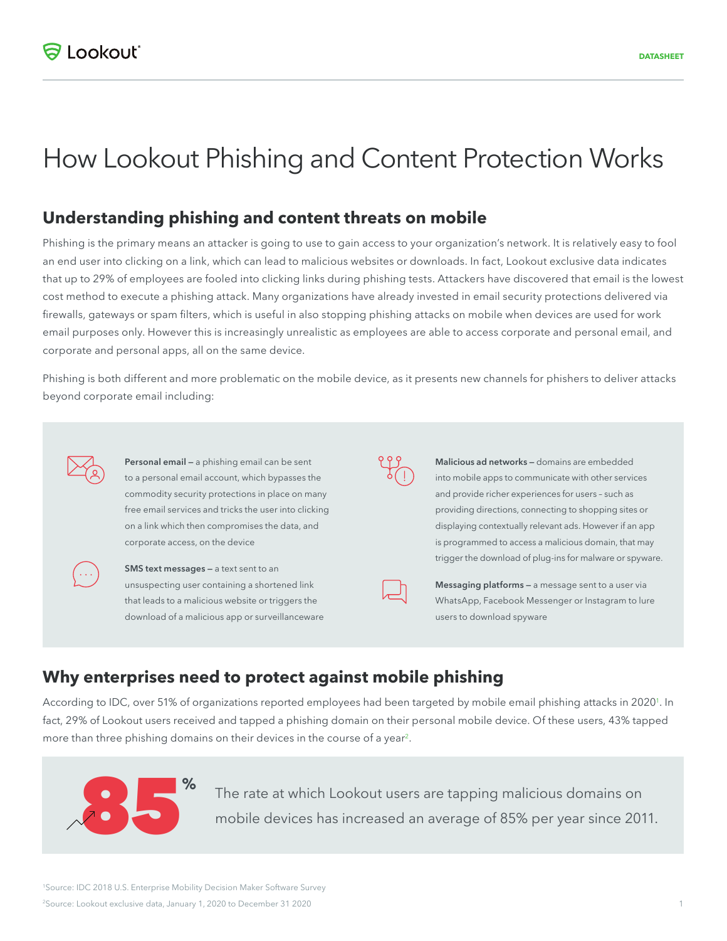# How Lookout Phishing and Content Protection Works

#### **Understanding phishing and content threats on mobile**

Phishing is the primary means an attacker is going to use to gain access to your organization's network. It is relatively easy to fool an end user into clicking on a link, which can lead to malicious websites or downloads. In fact, Lookout exclusive data indicates that up to 29% of employees are fooled into clicking links during phishing tests. Attackers have discovered that email is the lowest cost method to execute a phishing attack. Many organizations have already invested in email security protections delivered via firewalls, gateways or spam filters, which is useful in also stopping phishing attacks on mobile when devices are used for work email purposes only. However this is increasingly unrealistic as employees are able to access corporate and personal email, and corporate and personal apps, all on the same device.

Phishing is both different and more problematic on the mobile device, as it presents new channels for phishers to deliver attacks beyond corporate email including:

**Personal email —** a phishing email can be sent to a personal email account, which bypasses the commodity security protections in place on many free email services and tricks the user into clicking on a link which then compromises the data, and corporate access, on the device



**SMS text messages - a text sent to an** unsuspecting user containing a shortened link that leads to a malicious website or triggers the download of a malicious app or surveillanceware

**Malicious ad networks —** domains are embedded into mobile apps to communicate with other services and provide richer experiences for users – such as providing directions, connecting to shopping sites or displaying contextually relevant ads. However if an app is programmed to access a malicious domain, that may trigger the download of plug-ins for malware or spyware.

læ

**Messaging platforms —** a message sent to a user via WhatsApp, Facebook Messenger or Instagram to lure users to download spyware

#### **Why enterprises need to protect against mobile phishing**

According to IDC, over 51% of organizations reported employees had been targeted by mobile email phishing attacks in 2020<sup>1</sup>. In fact, 29% of Lookout users received and tapped a phishing domain on their personal mobile device. Of these users, 43% tapped more than three phishing domains on their devices in the course of a year<sup>2</sup>.



The rate at which Lookout users are tapping malicious domains on mobile devices has increased an average of 85% per year since 2011.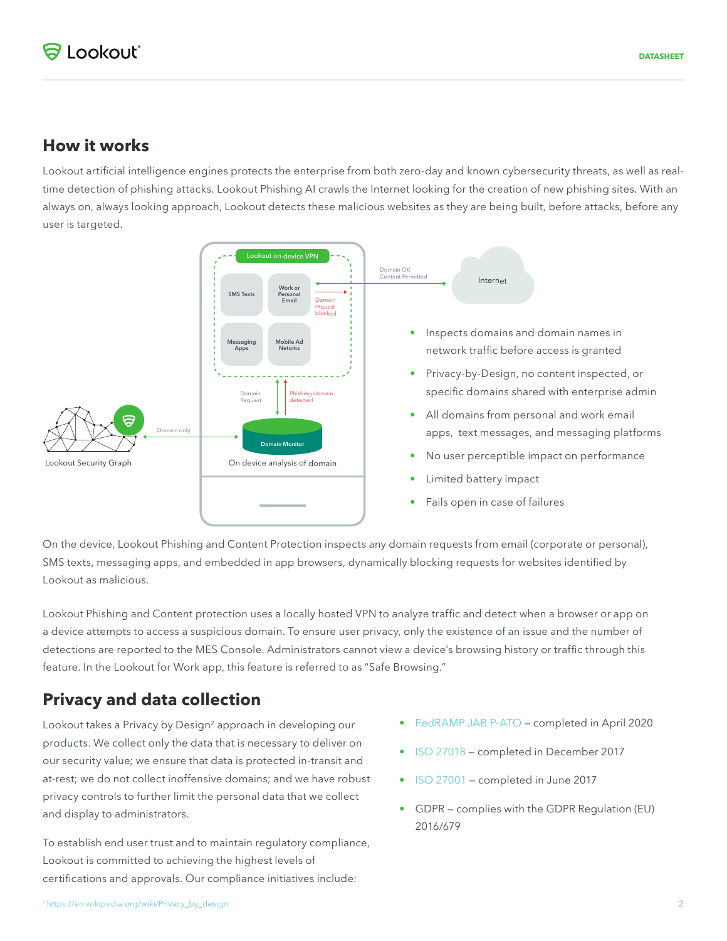#### **How it works**

Lookout artificial intelligence engines protects the enterprise from both zero-day and known cybersecurity threats, as well as realtime detection of phishing attacks. Lookout Phishing AI crawls the Internet looking for the creation of new phishing sites. With an always on, always looking approach, Lookout detects these malicious websites as they are being built, before attacks, before any user is targeted.



On the device, Lookout Phishing and Content Protection inspects any domain requests from email (corporate or personal), SMS texts, messaging apps, and embedded in app browsers, dynamically blocking requests for websites identified by Lookout as malicious.

Lookout Phishing and Content protection uses a locally hosted VPN to analyze traffic and detect when a browser or app on a device attempts to access a suspicious domain. To ensure user privacy, only the existence of an issue and the number of detections are reported to the MES Console. Administrators cannot view a device's browsing history or traffic through this feature. In the Lookout for Work app, this feature is referred to as "Safe Browsing."

#### **Privacy and data collection**

Lookout takes a Privacy by Design<sup>2</sup> approach in developing our products. We collect only the data that is necessary to deliver on our security value; we ensure that data is protected in-transit and at-rest; we do not collect inoffensive domains; and we have robust privacy controls to further limit the personal data that we collect and display to administrators.

To establish end user trust and to maintain regulatory compliance, Lookout is committed to achieving the highest levels of certifications and approvals. Our compliance initiatives include:

- FedRAMP JAB P-ATO completed in April 2020
- ISO 27018 completed in December 2017
- ISO 27001 completed in June 2017
- GDPR complies with the GDPR Regulation (EU) 2016/679